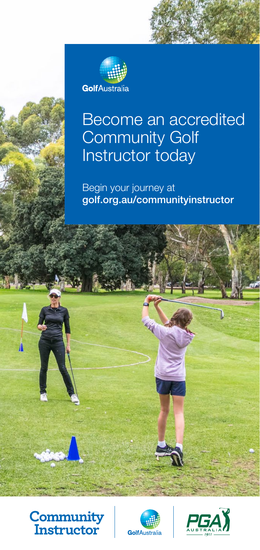

# Become an accredited Community Golf Instructor today

Begin your journey at golf.org.au/communityinstructor



 $\mathbf{I}$